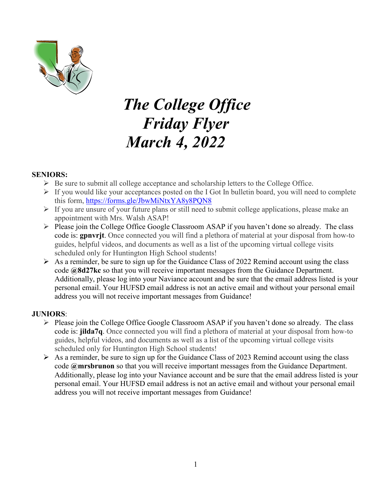

## *The College Office Friday Flyer March 4, 2022*

#### **SENIORS:**

- $\triangleright$  Be sure to submit all college acceptance and scholarship letters to the College Office.
- $\triangleright$  If you would like your acceptances posted on the I Got In bulletin board, you will need to complete this form,<https://forms.gle/JbwMiNtxYA8y8PQN8>
- $\triangleright$  If you are unsure of your future plans or still need to submit college applications, please make an appointment with Mrs. Walsh ASAP!
- $\triangleright$  Please join the College Office Google Classroom ASAP if you haven't done so already. The class code is: **gpnvrjt**. Once connected you will find a plethora of material at your disposal from how-to guides, helpful videos, and documents as well as a list of the upcoming virtual college visits scheduled only for Huntington High School students!
- $\triangleright$  As a reminder, be sure to sign up for the Guidance Class of 2022 Remind account using the class code **@8d27kc** so that you will receive important messages from the Guidance Department. Additionally, please log into your Naviance account and be sure that the email address listed is your personal email. Your HUFSD email address is not an active email and without your personal email address you will not receive important messages from Guidance!

#### **JUNIORS**:

- Please join the College Office Google Classroom ASAP if you haven't done so already. The class code is: **jilda7q**. Once connected you will find a plethora of material at your disposal from how-to guides, helpful videos, and documents as well as a list of the upcoming virtual college visits scheduled only for Huntington High School students!
- $\triangleright$  As a reminder, be sure to sign up for the Guidance Class of 2023 Remind account using the class code **@mrsbrunon** so that you will receive important messages from the Guidance Department. Additionally, please log into your Naviance account and be sure that the email address listed is your personal email. Your HUFSD email address is not an active email and without your personal email address you will not receive important messages from Guidance!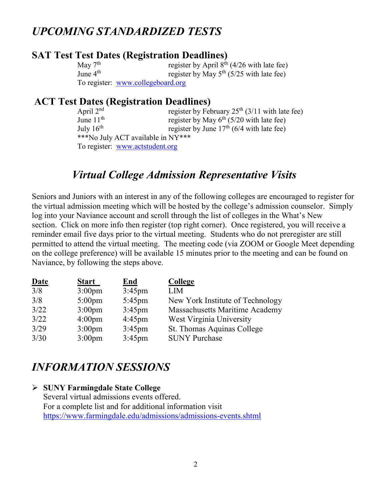### *UPCOMING STANDARDIZED TESTS*

### **SAT Test Test Dates (Registration Deadlines)**

May  $7^{\text{th}}$  register by April  $8^{\text{th}}$  (4/26 with late fee)<br>June  $4^{\text{th}}$  register by May  $5^{\text{th}}$  (5/25 with late fee) register by May  $5<sup>th</sup>$  (5/25 with late fee) To register: [www.collegeboard.org](http://www.collegeboard.org/)

## **ACT Test Dates (Registration Deadlines)**<br>April 2<sup>nd</sup> register by Fel

register by February  $25<sup>th</sup> (3/11)$  with late fee) June  $11^{\text{th}}$  register by May  $6^{\text{th}}$  (5/20 with late fee)<br>July  $16^{\text{th}}$  register by June  $17^{\text{th}}$  (6/4 with late fee) register by June  $17<sup>th</sup>$  (6/4 with late fee) \*\*\*No July ACT available in NY\*\*\* To register: [www.actstudent.org](http://www.actstudent.org/)

### *Virtual College Admission Representative Visits*

Seniors and Juniors with an interest in any of the following colleges are encouraged to register for the virtual admission meeting which will be hosted by the college's admission counselor. Simply log into your Naviance account and scroll through the list of colleges in the What's New section. Click on more info then register (top right corner). Once registered, you will receive a reminder email five days prior to the virtual meeting. Students who do not preregister are still permitted to attend the virtual meeting. The meeting code (via ZOOM or Google Meet depending on the college preference) will be available 15 minutes prior to the meeting and can be found on Naviance, by following the steps above.

| <b>Date</b> | <b>Start</b>       | <b>End</b> | <b>College</b>                   |
|-------------|--------------------|------------|----------------------------------|
| 3/8         | 3:00 <sub>pm</sub> | $3:45$ pm  | <b>LIM</b>                       |
| 3/8         | $5:00$ pm          | $5:45$ pm  | New York Institute of Technology |
| 3/22        | 3:00 <sub>pm</sub> | $3:45$ pm  | Massachusetts Maritime Academy   |
| 3/22        | 4:00 <sub>pm</sub> | $4:45$ pm  | West Virginia University         |
| 3/29        | 3:00 <sub>pm</sub> | $3:45$ pm  | St. Thomas Aquinas College       |
| 3/30        | 3:00 <sub>pm</sub> | $3:45$ pm  | <b>SUNY Purchase</b>             |

### *INFORMATION SESSIONS*

### **SUNY Farmingdale State College**

Several virtual admissions events offered. For a complete list and for additional information visit <https://www.farmingdale.edu/admissions/admissions-events.shtml>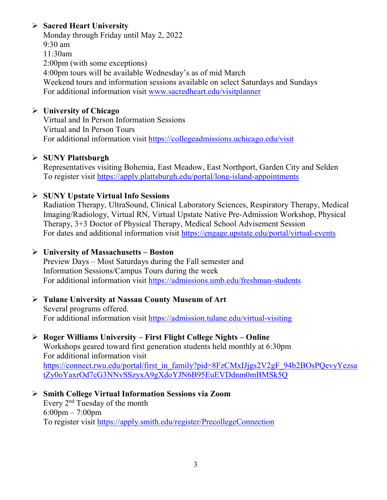### **Sacred Heart University**

Monday through Friday until May 2, 2022 9:30 am 11:30am 2:00pm (with some exceptions) 4:00pm tours will be available Wednesday's as of mid March Weekend tours and information sessions available on select Saturdays and Sundays For additional information visit [www.sacredheart.edu/visitplanner](http://www.sacredheart.edu/visitplanner)

### **University of Chicago**

Virtual and In Person Information Sessions Virtual and In Person Tours For additional information visit<https://collegeadmissions.uchicago.edu/visit>

### **SUNY Plattsburgh**

Representatives visiting Bohemia, East Meadow, East Northport, Garden City and Selden To register visit<https://apply.plattsburgh.edu/portal/long-island-appointments>

### **SUNY Upstate Virtual Info Sessions**

Radiation Therapy, UltraSound, Clinical Laboratory Sciences, Respiratory Therapy, Medical Imaging/Radiology, Virtual RN, Virtual Upstate Native Pre-Admission Workshop, Physical Therapy, 3+3 Doctor of Physical Therapy, Medical School Advisement Session For dates and additional information visit<https://engage.upstate.edu/portal/virtual-events>

### **University of Massachusetts – Boston**

Preview Days – Most Saturdays during the Fall semester and Information Sessions/Campus Tours during the week For additional information visit<https://admissions.umb.edu/freshman-students>

#### **Tulane University at Nassau County Museum of Art** Several programs offered. For additional information visit<https://admission.tulane.edu/virtual-visiting>

### **Roger Williams University – First Flight College Nights – Online**

Workshops geared toward first generation students held monthly at 6:30pm For additional information visit [https://connect.rwu.edu/portal/first\\_in\\_family?pid=8FzCMxIJjgs2V2gF\\_94b2BOsPQevyYezsa](https://connect.rwu.edu/portal/first_in_family?pid=8FzCMxIJjgs2V2gF_94b2BOsPQevyYezsatZy0oYaxrOd7cG3NNvSSzyxA9gXdoYJN6B95EuEVDdnm0mBMSk5Q) [tZy0oYaxrOd7cG3NNvSSzyxA9gXdoYJN6B95EuEVDdnm0mBMSk5Q](https://connect.rwu.edu/portal/first_in_family?pid=8FzCMxIJjgs2V2gF_94b2BOsPQevyYezsatZy0oYaxrOd7cG3NNvSSzyxA9gXdoYJN6B95EuEVDdnm0mBMSk5Q)

 **Smith College Virtual Information Sessions via Zoom** Every 2nd Tuesday of the month 6:00pm – 7:00pm To register visit<https://apply.smith.edu/register/PrecollegeConnection>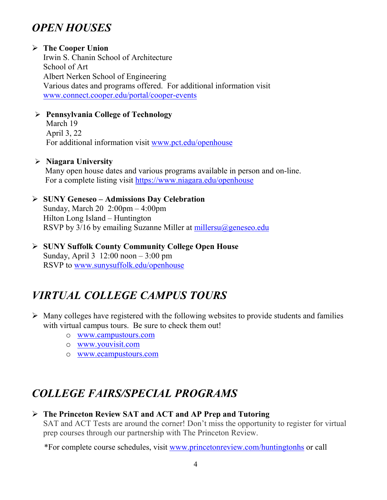### *OPEN HOUSES*

### **The Cooper Union**

Irwin S. Chanin School of Architecture School of Art Albert Nerken School of Engineering Various dates and programs offered. For additional information visit [www.connect.cooper.edu/portal/cooper-events](http://www.connect.cooper.edu/portal/cooper-events)

### **Pennsylvania College of Technology**

March 19 April 3, 22 For additional information visit [www.pct.edu/openhouse](http://www.pct.edu/openhouse)

### **Niagara University**

Many open house dates and various programs available in person and on-line. For a complete listing visit <https://www.niagara.edu/openhouse>

### **SUNY Geneseo – Admissions Day Celebration** Sunday, March 20 2:00pm – 4:00pm Hilton Long Island – Huntington RSVP by  $3/16$  by emailing Suzanne Miller at millersu $@geneseo.edu$

 **SUNY Suffolk County Community College Open House** Sunday, April 3 12:00 noon – 3:00 pm RSVP to [www.sunysuffolk.edu/openhouse](http://www.sunysuffolk.edu/openhouse) 

### *VIRTUAL COLLEGE CAMPUS TOURS*

- $\triangleright$  Many colleges have registered with the following websites to provide students and families with virtual campus tours. Be sure to check them out!
	- o [www.campustours.com](http://www.campustours.com/)
	- o [www.youvisit.com](http://www.youvisit.com/)
	- o [www.ecampustours.com](http://www.ecampustours.com/)

## *COLLEGE FAIRS/SPECIAL PROGRAMS*

### **The Princeton Review SAT and ACT and AP Prep and Tutoring** SAT and ACT Tests are around the corner! Don't miss the opportunity to register for virtual

prep courses through our partnership with The Princeton Review.

\*For complete course schedules, visit [www.princetonreview.com/huntingtonhs](http://www.princetonreview.com/huntingtonhs) or call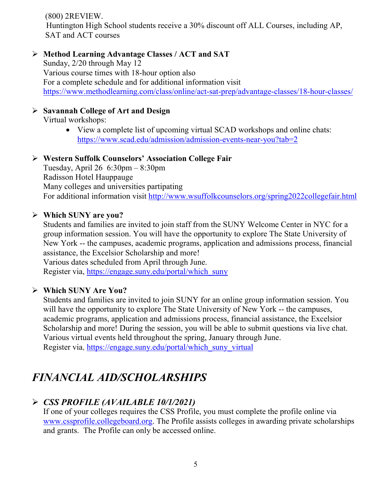(800) 2REVIEW. Huntington High School students receive a 30% discount off ALL Courses, including AP, SAT and ACT courses

### **Method Learning Advantage Classes / ACT and SAT**

Sunday, 2/20 through May 12 Various course times with 18-hour option also For a complete schedule and for additional information visit <https://www.methodlearning.com/class/online/act-sat-prep/advantage-classes/18-hour-classes/>

### **Savannah College of Art and Design**

Virtual workshops:

• View a complete list of upcoming virtual SCAD workshops and online chats: <https://www.scad.edu/admission/admission-events-near-you?tab=2>

### **Western Suffolk Counselors' Association College Fair**

Tuesday, April 26 6:30pm – 8:30pm Radisson Hotel Hauppauge Many colleges and universities partipating For additional information visit<http://www.wsuffolkcounselors.org/spring2022collegefair.html>

### **Which SUNY are you?**

Students and families are invited to join staff from the SUNY Welcome Center in NYC for a group information session. You will have the opportunity to explore The State University of New York -- the campuses, academic programs, application and admissions process, financial assistance, the Excelsior Scholarship and more! Various dates scheduled from April through June.

Register via, [https://engage.suny.edu/portal/which\\_suny](https://engage.suny.edu/portal/which_suny)

### **Which SUNY Are You?**

Students and families are invited to join SUNY for an online group information session. You will have the opportunity to explore The State University of New York -- the campuses, academic programs, application and admissions process, financial assistance, the Excelsior Scholarship and more! During the session, you will be able to submit questions via live chat. Various virtual events held throughout the spring, January through June. Register via, [https://engage.suny.edu/portal/which\\_suny\\_virtual](https://engage.suny.edu/portal/which_suny_virtual)

### *FINANCIAL AID/SCHOLARSHIPS*

### *CSS PROFILE (AVAILABLE 10/1/2021)*

If one of your colleges requires the CSS Profile, you must complete the profile online via [www.cssprofile.collegeboard.org.](http://www.cssprofile.collegeboard.org/) The Profile assists colleges in awarding private scholarships and grants. The Profile can only be accessed online.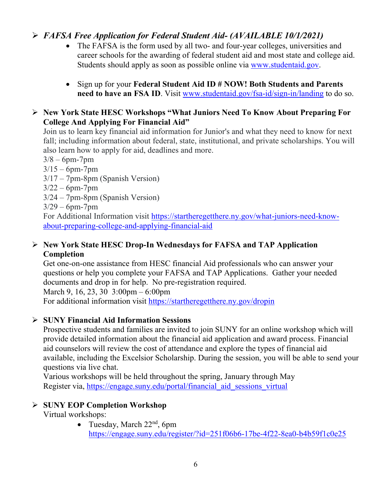### *FAFSA Free Application for Federal Student Aid- (AVAILABLE 10/1/2021)*

- The FAFSA is the form used by all two- and four-year colleges, universities and career schools for the awarding of [federal student aid](http://studentaid.ed.gov/students/publications/student_guide/2010-2011/english/typesofFSA_grants.htm) and most state and college aid. Students should apply as soon as possible online via [www.studentaid.gov.](http://www.studentaid.gov/)
- Sign up for your **Federal Student Aid ID # NOW! Both Students and Parents need to have an FSA ID**. Visit [www.studentaid.gov/fsa-id/sign-in/landing](http://www.studentaid.gov/fsa-id/sign-in/landing) to do so.

### **New York State HESC Workshops "What Juniors Need To Know About Preparing For College And Applying For Financial Aid"**

Join us to learn key financial aid information for Junior's and what they need to know for next fall; including information about federal, state, institutional, and private scholarships. You will also learn how to apply for aid, deadlines and more.

 $3/8 - 6$ pm-7pm

- $3/15 6$ pm-7pm
- 3/17 7pm-8pm (Spanish Version)
- $3/22 6$ pm-7pm
- 3/24 7pm-8pm (Spanish Version)
- $3/29 6$ pm-7pm

For Additional Information visit [https://startheregetthere.ny.gov/what-juniors-need-know](https://startheregetthere.ny.gov/what-juniors-need-know-about-preparing-college-and-applying-financial-aid)[about-preparing-college-and-applying-financial-aid](https://startheregetthere.ny.gov/what-juniors-need-know-about-preparing-college-and-applying-financial-aid)

### **New York State HESC Drop-In Wednesdays for FAFSA and TAP Application Completion**

Get one-on-one assistance from HESC financial Aid professionals who can answer your questions or help you complete your FAFSA and TAP Applications. Gather your needed documents and drop in for help. No pre-registration required. March 9, 16, 23, 30 3:00pm – 6:00pm

For additional information visit<https://startheregetthere.ny.gov/dropin>

### **SUNY Financial Aid Information Sessions**

Prospective students and families are invited to join SUNY for an online workshop which will provide detailed information about the financial aid application and award process. Financial aid counselors will review the cost of attendance and explore the types of financial aid available, including the Excelsior Scholarship. During the session, you will be able to send your questions via live chat.

Various workshops will be held throughout the spring, January through May Register via, https://engage.suny.edu/portal/financial aid sessions virtual

### **SUNY EOP Completion Workshop**

Virtual workshops:

• Tuesday, March  $22<sup>nd</sup>$ , 6pm <https://engage.suny.edu/register/?id=251f06b6-17be-4f22-8ea0-b4b59f1c0e25>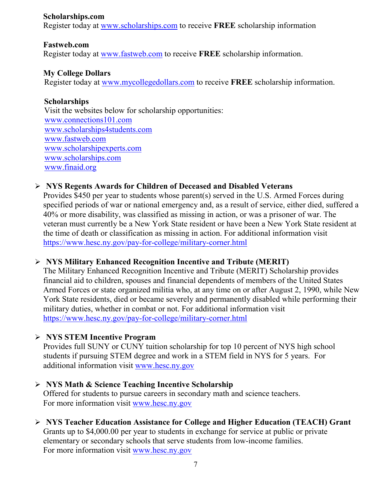#### **Scholarships.com**

Register today at [www.scholarships.com](http://www.scholarships.com/) to receive **FREE** scholarship information

### **Fastweb.com**

Register today at [www.fastweb.com](http://www.fastweb.com/) to receive **FREE** scholarship information.

### **My College Dollars**

Register today at [www.mycollegedollars.com](http://www.mycollegedollars.com/) to receive **FREE** scholarship information.

### **Scholarships**

 Visit the websites below for scholarship opportunities: [www.connections101.com](http://www.connections101.com/) [www.scholarships4students.com](http://www.scholarships4students.com/) [www.fastweb.com](http://www.fastweb.com/) [www.scholarshipexperts.com](http://www.scholarshipexperts.com/) [www.scholarships.com](http://www.scholarships.com/) [www.finaid.org](http://www.finaid.org/)

### **NYS Regents Awards for Children of Deceased and Disabled Veterans**

Provides \$450 per year to students whose parent(s) served in the U.S. Armed Forces during specified periods of war or national emergency and, as a result of service, either died, suffered a 40% or more disability, was classified as missing in action, or was a prisoner of war. The veteran must currently be a New York State resident or have been a New York State resident at the time of death or classification as missing in action. For additional information visit <https://www.hesc.ny.gov/pay-for-college/military-corner.html>

### **NYS Military Enhanced Recognition Incentive and Tribute (MERIT)**

The Military Enhanced Recognition Incentive and Tribute (MERIT) Scholarship provides financial aid to children, spouses and financial dependents of members of the United States Armed Forces or state organized militia who, at any time on or after August 2, 1990, while New York State residents, died or became severely and permanently disabled while performing their military duties, whether in combat or not. For additional information visit <https://www.hesc.ny.gov/pay-for-college/military-corner.html>

### **NYS STEM Incentive Program**

Provides full SUNY or CUNY tuition scholarship for top 10 percent of NYS high school students if pursuing STEM degree and work in a STEM field in NYS for 5 years. For additional information visit [www.hesc.ny.gov](http://www.hesc.ny.gov/)

### **NYS Math & Science Teaching Incentive Scholarship**

Offered for students to pursue careers in secondary math and science teachers. For more information visit [www.hesc.ny.gov](http://www.hesc.ny.gov/)

 **NYS Teacher Education Assistance for College and Higher Education (TEACH) Grant** Grants up to \$4,000.00 per year to students in exchange for service at public or private elementary or secondary schools that serve students from low-income families. For more information visit [www.hesc.ny.gov](http://www.hesc.ny.gov/)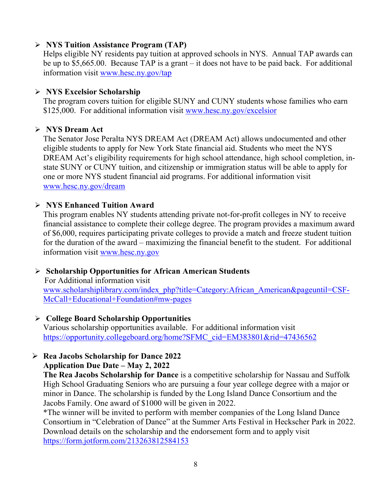### **NYS Tuition Assistance Program (TAP)**

Helps eligible NY residents pay tuition at approved schools in NYS. Annual TAP awards can be up to \$5,665.00. Because TAP is a grant – it does not have to be paid back. For additional information visit [www.hesc.ny.gov/tap](http://www.hesc.ny.gov/tap)

### **NYS Excelsior Scholarship**

The program covers tuition for eligible SUNY and CUNY students whose families who earn \$125,000. For additional information visit [www.hesc.ny.gov/](http://www.hesc.ny.gov/)excelsior

### **NYS Dream Act**

The Senator Jose Peralta NYS DREAM Act (DREAM Act) allows undocumented and other eligible students to apply for New York State financial aid. Students who meet the NYS DREAM Act's eligibility requirements for high school attendance, high school completion, instate SUNY or CUNY tuition, and citizenship or immigration status will be able to apply for one or more NYS student financial aid programs. For additional information visit [www.hesc.ny.gov/dream](http://www.hesc.ny.gov/dream)

### **NYS Enhanced Tuition Award**

This program enables NY students attending private not-for-profit colleges in NY to receive financial assistance to complete their college degree. The program provides a maximum award of \$6,000, requires participating private colleges to provide a match and freeze student tuition for the duration of the award – maximizing the financial benefit to the student. For additional information visit [www.hesc.ny.gov](http://www.hesc.ny.gov/)

### **Scholarship Opportunities for African American Students**

 For Additional information visit [www.scholarshiplibrary.com/index\\_php?title=Category:African\\_American&pageuntil=CSF-](http://www.scholarshiplibrary.com/index_php?title=Category:African_American&pageuntil=CSF-%20%20%20McCall+Educational+Foundation#mw-pages)[McCall+Educational+Foundation#mw-pages](http://www.scholarshiplibrary.com/index_php?title=Category:African_American&pageuntil=CSF-%20%20%20McCall+Educational+Foundation#mw-pages)

### **College Board Scholarship Opportunities**

Various scholarship opportunities available. For additional information visit [https://opportunity.collegeboard.org/home?SFMC\\_cid=EM383801&rid=47436562](https://opportunity.collegeboard.org/home?SFMC_cid=EM383801&rid=47436562)

### **Rea Jacobs Scholarship for Dance 2022**

### **Application Due Date – May 2, 2022**

**The Rea Jacobs Scholarship for Dance** is a competitive scholarship for Nassau and Suffolk High School Graduating Seniors who are pursuing a four year college degree with a major or minor in Dance. The scholarship is funded by the Long Island Dance Consortium and the Jacobs Family. One award of \$1000 will be given in 2022.

\*The winner will be invited to perform with member companies of the Long Island Dance Consortium in "Celebration of Dance" at the Summer Arts Festival in Heckscher Park in 2022. Download details on the scholarship and the endorsement form and to apply visit <https://form.jotform.com/213263812584153>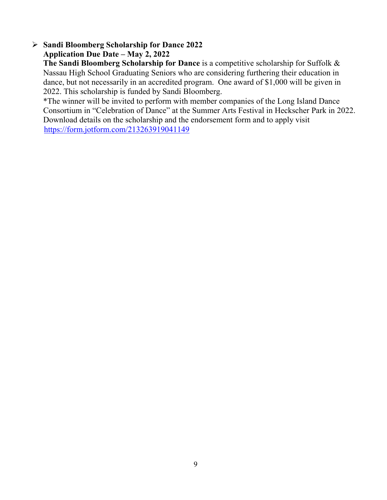### **Sandi Bloomberg Scholarship for Dance 2022 Application Due Date – May 2, 2022**

**The Sandi Bloomberg Scholarship for Dance** is a competitive scholarship for Suffolk & Nassau High School Graduating Seniors who are considering furthering their education in dance, but not necessarily in an accredited program. One award of \$1,000 will be given in 2022. This scholarship is funded by Sandi Bloomberg.

\*The winner will be invited to perform with member companies of the Long Island Dance Consortium in "Celebration of Dance" at the Summer Arts Festival in Heckscher Park in 2022. Download details on the scholarship and the endorsement form and to apply visit <https://form.jotform.com/213263919041149>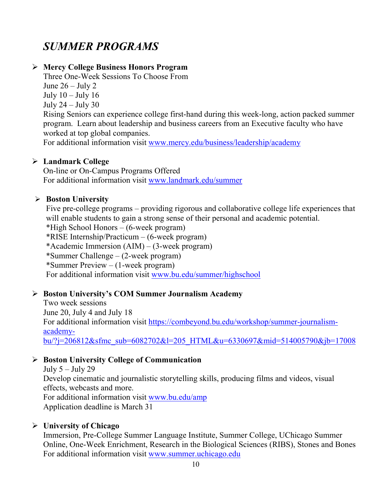### *SUMMER PROGRAMS*

### **Mercy College Business Honors Program**

Three One-Week Sessions To Choose From June  $26 -$  July 2 July  $10 -$ July  $16$ July 24 – July 30

Rising Seniors can experience college first-hand during this week-long, action packed summer program. Learn about leadership and business careers from an Executive faculty who have worked at top global companies.

For additional information visit [www.mercy.edu/business/leadership/academy](http://www.mercy.edu/business/leadership/academy)

### **Landmark College**

On-line or On-Campus Programs Offered For additional information visit [www.landmark.edu/summer](http://www.landmark.edu/summer)

### **Boston University**

Five pre-college programs – providing rigorous and collaborative college life experiences that will enable students to gain a strong sense of their personal and academic potential. \*High School Honors – (6-week program) \*RISE Internship/Practicum – (6-week program) \*Academic Immersion (AIM) – (3-week program) \*Summer Challenge – (2-week program) \*Summer Preview – (1-week program) For additional information visit [www.bu.edu/summer/highschool](http://www.bu.edu/summer/highschool)

### **Boston University's COM Summer Journalism Academy**

Two week sessions June 20, July 4 and July 18 For additional information visit [https://combeyond.bu.edu/workshop/summer-journalism](https://combeyond.bu.edu/workshop/summer-journalism-academy-bu/?j=206812&sfmc_sub=6082702&l=205_HTML&u=6330697&mid=514005790&jb=17008)[academy](https://combeyond.bu.edu/workshop/summer-journalism-academy-bu/?j=206812&sfmc_sub=6082702&l=205_HTML&u=6330697&mid=514005790&jb=17008)[bu/?j=206812&sfmc\\_sub=6082702&l=205\\_HTML&u=6330697&mid=514005790&jb=17008](https://combeyond.bu.edu/workshop/summer-journalism-academy-bu/?j=206812&sfmc_sub=6082702&l=205_HTML&u=6330697&mid=514005790&jb=17008)

### **Boston University College of Communication**

July  $5 -$  July 29 Develop cinematic and journalistic storytelling skills, producing films and videos, visual effects, webcasts and more. For additional information visit [www.bu.edu/amp](http://www.bu.edu/amp) Application deadline is March 31

### **University of Chicago**

Immersion, Pre-College Summer Language Institute, Summer College, UChicago Summer Online, One-Week Enrichment, Research in the Biological Sciences (RIBS), Stones and Bones For additional information visit [www.summer.uchicago.edu](http://www.summer.uchicago.edu/)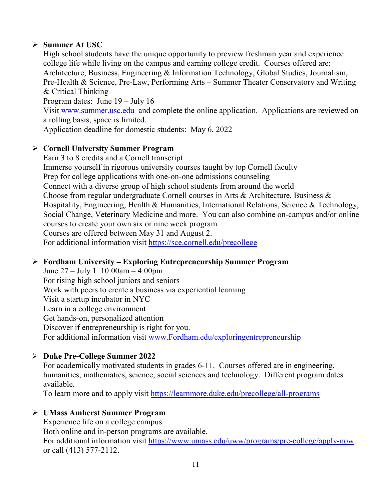### **Summer At USC**

High school students have the unique opportunity to preview freshman year and experience college life while living on the campus and earning college credit. Courses offered are: Architecture, Business, Engineering & Information Technology, Global Studies, Journalism, Pre-Health & Science, Pre-Law, Performing Arts – Summer Theater Conservatory and Writing & Critical Thinking

Program dates: June 19 – July 16

Visit [www.summer.usc.edu](http://www.summer.usc.edu/) and complete the online application. Applications are reviewed on a rolling basis, space is limited.

Application deadline for domestic students: May 6, 2022

### **Cornell University Summer Program**

Earn 3 to 8 credits and a Cornell transcript Immerse yourself in rigorous university courses taught by top Cornell faculty Prep for college applications with one-on-one admissions counseling Connect with a diverse group of high school students from around the world Choose from regular undergraduate Cornell courses in Arts & Architecture, Business & Hospitality, Engineering, Health & Humanities, International Relations, Science & Technology, Social Change, Veterinary Medicine and more. You can also combine on-campus and/or online courses to create your own six or nine week program Courses are offered between May 31 and August 2. For additional information visit<https://sce.cornell.edu/precollege>

### **Fordham University – Exploring Entrepreneurship Summer Program**

June 27 – July 1 10:00am – 4:00pm For rising high school juniors and seniors Work with peers to create a business via experiential learning Visit a startup incubator in NYC Learn in a college environment Get hands-on, personalized attention Discover if entrepreneurship is right for you. For additional information visit [www.Fordham.edu/exploringentrepreneurship](http://www.fordham.edu/exploringentrepreneurship)

### **Duke Pre-College Summer 2022**

For academically motivated students in grades 6-11. Courses offered are in engineering, humanities, mathematics, science, social sciences and technology. Different program dates available.

To learn more and to apply visit<https://learnmore.duke.edu/precollege/all-programs>

### **UMass Amherst Summer Program**

Experience life on a college campus Both online and in-person programs are available. For additional information visit<https://www.umass.edu/uww/programs/pre-college/apply-now> or call (413) 577-2112.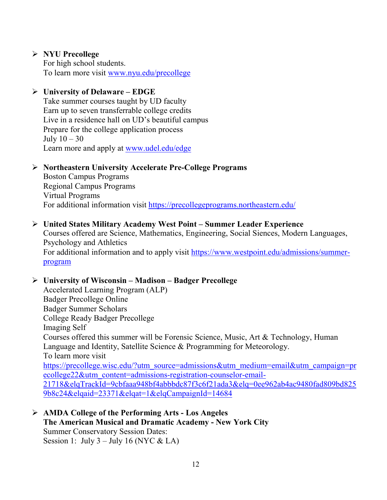### **NYU Precollege**

For high school students. To learn more visit [www.nyu.edu/precollege](http://www.nyu.edu/precollege)

### **University of Delaware – EDGE**

Take summer courses taught by UD faculty Earn up to seven transferrable college credits Live in a residence hall on UD's beautiful campus Prepare for the college application process July  $10-30$ Learn more and apply at [www.udel.edu/edge](http://www.udel.edu/edge)

#### **Northeastern University Accelerate Pre-College Programs**

Boston Campus Programs Regional Campus Programs Virtual Programs For additional information visit<https://precollegeprograms.northeastern.edu/>

#### **United States Military Academy West Point – Summer Leader Experience**

Courses offered are Science, Mathematics, Engineering, Social Siences, Modern Languages, Psychology and Athletics For additional information and to apply visit [https://www.westpoint.edu/admissions/summer](https://www.westpoint.edu/admissions/summer-program)[program](https://www.westpoint.edu/admissions/summer-program)

### **University of Wisconsin – Madison – Badger Precollege**

Accelerated Learning Program (ALP) Badger Precollege Online Badger Summer Scholars College Ready Badger Precollege Imaging Self Courses offered this summer will be Forensic Science, Music, Art & Technology, Human Language and Identity, Satellite Science & Programming for Meteorology. To learn more visit [https://precollege.wisc.edu/?utm\\_source=admissions&utm\\_medium=email&utm\\_campaign=pr](https://precollege.wisc.edu/?utm_source=admissions&utm_medium=email&utm_campaign=precollege22&utm_content=admissions-registration-counselor-email-21718&elqTrackId=9cbfaaa948bf4abbbdc87f3c6f21ada3&elq=0ee962ab4ac9480fad809bd8259b8c24&elqaid=23371&elqat=1&elqCampaignId=14684) [ecollege22&utm\\_content=admissions-registration-counselor-email-](https://precollege.wisc.edu/?utm_source=admissions&utm_medium=email&utm_campaign=precollege22&utm_content=admissions-registration-counselor-email-21718&elqTrackId=9cbfaaa948bf4abbbdc87f3c6f21ada3&elq=0ee962ab4ac9480fad809bd8259b8c24&elqaid=23371&elqat=1&elqCampaignId=14684)[21718&elqTrackId=9cbfaaa948bf4abbbdc87f3c6f21ada3&elq=0ee962ab4ac9480fad809bd825](https://precollege.wisc.edu/?utm_source=admissions&utm_medium=email&utm_campaign=precollege22&utm_content=admissions-registration-counselor-email-21718&elqTrackId=9cbfaaa948bf4abbbdc87f3c6f21ada3&elq=0ee962ab4ac9480fad809bd8259b8c24&elqaid=23371&elqat=1&elqCampaignId=14684) [9b8c24&elqaid=23371&elqat=1&elqCampaignId=14684](https://precollege.wisc.edu/?utm_source=admissions&utm_medium=email&utm_campaign=precollege22&utm_content=admissions-registration-counselor-email-21718&elqTrackId=9cbfaaa948bf4abbbdc87f3c6f21ada3&elq=0ee962ab4ac9480fad809bd8259b8c24&elqaid=23371&elqat=1&elqCampaignId=14684)

 **AMDA College of the Performing Arts - Los Angeles The American Musical and Dramatic Academy - New York City** Summer Conservatory Session Dates: Session 1: July  $3 -$  July 16 (NYC & LA)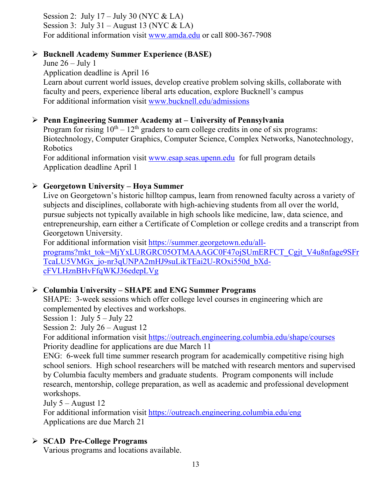Session 2: July  $17 -$  July 30 (NYC & LA) Session 3: July 31 – August 13 (NYC & LA) For additional information visit [www.amda.edu](http://www.amda.edu/) or call 800-367-7908

### **Bucknell Academy Summer Experience (BASE)**

June  $26 -$  July 1 Application deadline is April 16 Learn about current world issues, develop creative problem solving skills, collaborate with faculty and peers, experience liberal arts education, explore Bucknell's campus For additional information visit [www.bucknell.edu/admissions](http://www.bucknell.edu/admissions)

### **Penn Engineering Summer Academy at – University of Pennsylvania**

Program for rising  $10<sup>th</sup> - 12<sup>th</sup>$  graders to earn college credits in one of six programs: Biotechnology, Computer Graphics, Computer Science, Complex Networks, Nanotechnology, Robotics

For additional information visit [www.esap.seas.upenn.edu](http://www.esap.seas.upenn.edu/) for full program details Application deadline April 1

### **Georgetown University – Hoya Summer**

Live on Georgetown's historic hilltop campus, learn from renowned faculty across a variety of subjects and disciplines, collaborate with high-achieving students from all over the world, pursue subjects not typically available in high schools like medicine, law, data science, and entrepreneurship, earn either a Certificate of Completion or college credits and a transcript from Georgetown University.

For additional information visit [https://summer.georgetown.edu/all](https://summer.georgetown.edu/all-programs?mkt_tok=MjYxLURGRC05OTMAAAGC0F47ojSUmERFCT_Cgjt_V4u8nfage9SFrTcaLU5VMGx_jo-nr3qUNPA2mHJ9suLikTEai2U-ROxi550d_bXd-cFVLHznBHvFfqWKJ36edepLVg)[programs?mkt\\_tok=MjYxLURGRC05OTMAAAGC0F47ojSUmERFCT\\_Cgjt\\_V4u8nfage9SFr](https://summer.georgetown.edu/all-programs?mkt_tok=MjYxLURGRC05OTMAAAGC0F47ojSUmERFCT_Cgjt_V4u8nfage9SFrTcaLU5VMGx_jo-nr3qUNPA2mHJ9suLikTEai2U-ROxi550d_bXd-cFVLHznBHvFfqWKJ36edepLVg) [TcaLU5VMGx\\_jo-nr3qUNPA2mHJ9suLikTEai2U-ROxi550d\\_bXd](https://summer.georgetown.edu/all-programs?mkt_tok=MjYxLURGRC05OTMAAAGC0F47ojSUmERFCT_Cgjt_V4u8nfage9SFrTcaLU5VMGx_jo-nr3qUNPA2mHJ9suLikTEai2U-ROxi550d_bXd-cFVLHznBHvFfqWKJ36edepLVg)[cFVLHznBHvFfqWKJ36edepLVg](https://summer.georgetown.edu/all-programs?mkt_tok=MjYxLURGRC05OTMAAAGC0F47ojSUmERFCT_Cgjt_V4u8nfage9SFrTcaLU5VMGx_jo-nr3qUNPA2mHJ9suLikTEai2U-ROxi550d_bXd-cFVLHznBHvFfqWKJ36edepLVg)

### **Columbia University – SHAPE and ENG Summer Programs**

SHAPE: 3-week sessions which offer college level courses in engineering which are complemented by electives and workshops.

Session 1: July 5 – July 22

Session 2: July 26 – August 12

For additional information visit<https://outreach.engineering.columbia.edu/shape/courses> Priority deadline for applications are due March 11

ENG: 6-week full time summer research program for academically competitive rising high school seniors. High school researchers will be matched with research mentors and supervised by Columbia faculty members and graduate students. Program components will include research, mentorship, college preparation, as well as academic and professional development workshops.

July 5 – August 12

For additional information visit<https://outreach.engineering.columbia.edu/eng> Applications are due March 21

### **SCAD Pre-College Programs**

Various programs and locations available.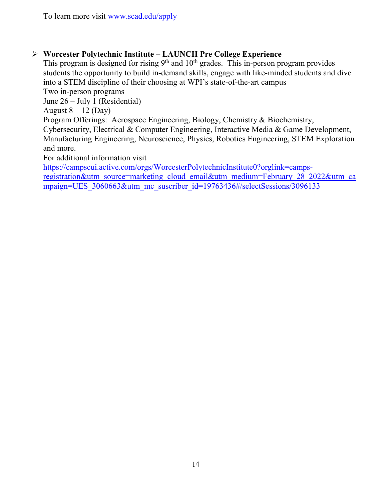### **Worcester Polytechnic Institute – LAUNCH Pre College Experience**

This program is designed for rising  $9<sup>th</sup>$  and  $10<sup>th</sup>$  grades. This in-person program provides students the opportunity to build in-demand skills, engage with like-minded students and dive into a STEM discipline of their choosing at WPI's state-of-the-art campus

Two in-person programs

June 26 – July 1 (Residential)

August  $8 - 12$  (Day)

Program Offerings: Aerospace Engineering, Biology, Chemistry & Biochemistry,

Cybersecurity, Electrical & Computer Engineering, Interactive Media & Game Development, Manufacturing Engineering, Neuroscience, Physics, Robotics Engineering, STEM Exploration and more.

For additional information visit

[https://campscui.active.com/orgs/WorcesterPolytechnicInstitute0?orglink=camps-](https://campscui.active.com/orgs/WorcesterPolytechnicInstitute0?orglink=camps-registration&utm_source=marketing_cloud_email&utm_medium=February_28_2022&utm_campaign=UES_3060663&utm_mc_suscriber_id=19763436#/selectSessions/3096133)

[registration&utm\\_source=marketing\\_cloud\\_email&utm\\_medium=February\\_28\\_2022&utm\\_ca](https://campscui.active.com/orgs/WorcesterPolytechnicInstitute0?orglink=camps-registration&utm_source=marketing_cloud_email&utm_medium=February_28_2022&utm_campaign=UES_3060663&utm_mc_suscriber_id=19763436#/selectSessions/3096133) [mpaign=UES\\_3060663&utm\\_mc\\_suscriber\\_id=19763436#/selectSessions/3096133](https://campscui.active.com/orgs/WorcesterPolytechnicInstitute0?orglink=camps-registration&utm_source=marketing_cloud_email&utm_medium=February_28_2022&utm_campaign=UES_3060663&utm_mc_suscriber_id=19763436#/selectSessions/3096133)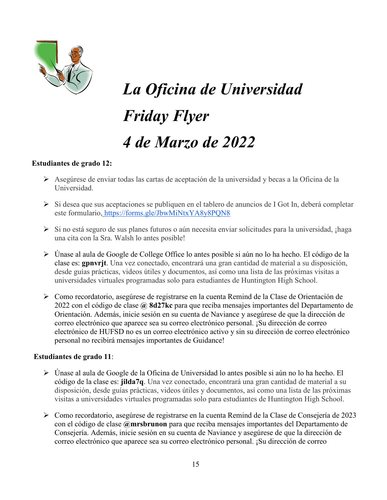

# *La Oficina de Universidad Friday Flyer 4 de Marzo de 2022*

#### **Estudiantes de grado 12:**

- Asegúrese de enviar todas las cartas de aceptación de la universidad y becas a la Oficina de la Universidad.
- $\triangleright$  Si desea que sus aceptaciones se publiquen en el tablero de anuncios de I Got In, deberá completar este formulario, <https://forms.gle/JbwMiNtxYA8y8PQN8>
- Si no está seguro de sus planes futuros o aún necesita enviar solicitudes para la universidad, ¡haga una cita con la Sra. Walsh lo antes posible!
- Únase al aula de Google de College Office lo antes posible si aún no lo ha hecho. El código de la clase es: **gpnvrjt**. Una vez conectado, encontrará una gran cantidad de material a su disposición, desde guías prácticas, videos útiles y documentos, así como una lista de las próximas visitas a universidades virtuales programadas solo para estudiantes de Huntington High School.
- Como recordatorio, asegúrese de registrarse en la cuenta Remind de la Clase de Orientación de 2022 con el código de clase **@ 8d27kc** para que reciba mensajes importantes del Departamento de Orientación. Además, inicie sesión en su cuenta de Naviance y asegúrese de que la dirección de correo electrónico que aparece sea su correo electrónico personal. ¡Su dirección de correo electrónico de HUFSD no es un correo electrónico activo y sin su dirección de correo electrónico personal no recibirá mensajes importantes de Guidance!

#### **Estudiantes de grado 11**:

- Únase al aula de Google de la Oficina de Universidad lo antes posible si aún no lo ha hecho. El código de la clase es: **jilda7q**. Una vez conectado, encontrará una gran cantidad de material a su disposición, desde guías prácticas, videos útiles y documentos, así como una lista de las próximas visitas a universidades virtuales programadas solo para estudiantes de Huntington High School.
- Como recordatorio, asegúrese de registrarse en la cuenta Remind de la Clase de Consejería de 2023 con el código de clase **@mrsbrunon** para que reciba mensajes importantes del Departamento de Consejería. Además, inicie sesión en su cuenta de Naviance y asegúrese de que la dirección de correo electrónico que aparece sea su correo electrónico personal. ¡Su dirección de correo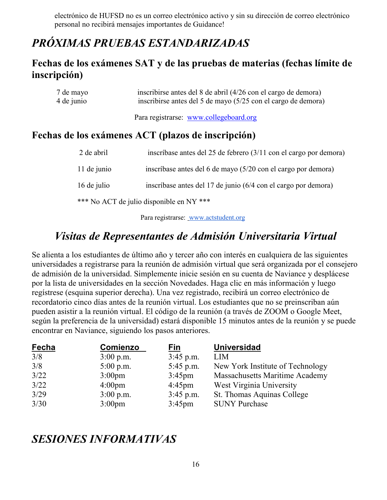electrónico de HUFSD no es un correo electrónico activo y sin su dirección de correo electrónico personal no recibirá mensajes importantes de Guidance!

### *PRÓXIMAS PRUEBAS ESTANDARIZADAS*

### **Fechas de los exámenes SAT y de las pruebas de materias (fechas límite de inscripción)**

| 7 de mayo  | inscribirse antes del 8 de abril (4/26 con el cargo de demora) |
|------------|----------------------------------------------------------------|
| 4 de junio | inscribirse antes del 5 de mayo (5/25 con el cargo de demora)  |

Para registrarse: [www.collegeboard.org](http://www.collegeboard.org/)

### **Fechas de los exámenes ACT (plazos de inscripción)**

| 2 de abril  | inscríbase antes del 25 de febrero $(3/11 \text{ con el cargo por demora})$ |
|-------------|-----------------------------------------------------------------------------|
| 11 de junio | inscríbase antes del 6 de mayo (5/20 con el cargo por demora)               |
| 16 de julio | inscríbase antes del 17 de junio (6/4 con el cargo por demora)              |
|             | *** No ACT de julio disponible en NY ***                                    |

Para registrarse: [www.actstudent.org](http://www.actstudent.org/)

### *Visitas de Representantes de Admisión Universitaria Virtual*

Se alienta a los estudiantes de último año y tercer año con interés en cualquiera de las siguientes universidades a registrarse para la reunión de admisión virtual que será organizada por el consejero de admisión de la universidad. Simplemente inicie sesión en su cuenta de Naviance y desplácese por la lista de universidades en la sección Novedades. Haga clic en más información y luego regístrese (esquina superior derecha). Una vez registrado, recibirá un correo electrónico de recordatorio cinco días antes de la reunión virtual. Los estudiantes que no se preinscriban aún pueden asistir a la reunión virtual. El código de la reunión (a través de ZOOM o Google Meet, según la preferencia de la universidad) estará disponible 15 minutos antes de la reunión y se puede encontrar en Naviance, siguiendo los pasos anteriores.

| <b>Fecha</b> | <b>Comienzo</b>    | <u>Fin</u>       | Universidad                           |
|--------------|--------------------|------------------|---------------------------------------|
| 3/8          | $3:00$ p.m.        | $3:45$ p.m.      | <b>LIM</b>                            |
| 3/8          | $5:00$ p.m.        | 5:45 p.m.        | New York Institute of Technology      |
| 3/22         | 3:00 <sub>pm</sub> | $3:45 \text{pm}$ | <b>Massachusetts Maritime Academy</b> |
| 3/22         | $4:00 \text{pm}$   | $4:45 \text{pm}$ | West Virginia University              |
| 3/29         | $3:00$ p.m.        | $3:45$ p.m.      | St. Thomas Aquinas College            |
| 3/30         | $3:00 \text{pm}$   | $3:45 \text{pm}$ | <b>SUNY Purchase</b>                  |

### *SESIONES INFORMATIVAS*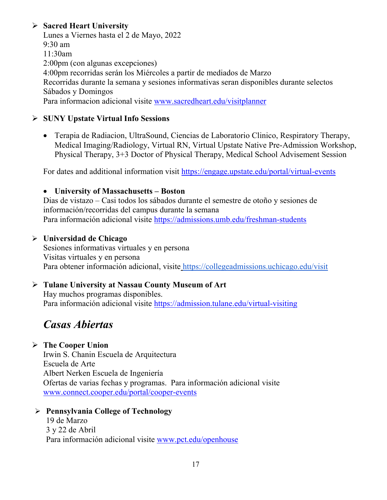### **Sacred Heart University**

Lunes a Viernes hasta el 2 de Mayo, 2022 9:30 am 11:30am 2:00pm (con algunas excepciones) 4:00pm recorridas serán los Miércoles a partir de mediados de Marzo Recorridas durante la semana y sesiones informativas seran disponibles durante selectos Sábados y Domingos Para informacion adicional visite [www.sacredheart.edu/visitplanner](http://www.sacredheart.edu/visitplanner)

### **SUNY Upstate Virtual Info Sessions**

• Terapia de Radiacion, UltraSound, Ciencias de Laboratorio Clinico, Respiratory Therapy, Medical Imaging/Radiology, Virtual RN, Virtual Upstate Native Pre-Admission Workshop, Physical Therapy, 3+3 Doctor of Physical Therapy, Medical School Advisement Session

For dates and additional information visit<https://engage.upstate.edu/portal/virtual-events>

### • **University of Massachusetts – Boston**

Dias de vistazo – Casi todos los sábados durante el semestre de otoño y sesiones de información/recorridas del campus durante la semana Para información adicional visite<https://admissions.umb.edu/freshman-students>

### **Universidad de Chicago**

Sesiones informativas virtuales y en persona Visitas virtuales y en persona Para obtener información adicional, visite <https://collegeadmissions.uchicago.edu/visit>

### **Tulane University at Nassau County Museum of Art**

Hay muchos programas disponibles. Para información adicional visite <https://admission.tulane.edu/virtual-visiting>

### *Casas Abiertas*

### **The Cooper Union**

Irwin S. Chanin Escuela de Arquitectura Escuela de Arte Albert Nerken Escuela de Ingeniería Ofertas de varias fechas y programas. Para información adicional visite [www.connect.cooper.edu/portal/cooper-events](http://www.connect.cooper.edu/portal/cooper-events)

### **Pennsylvania College of Technology**

19 de Marzo 3 y 22 de Abril Para información adicional visite [www.pct.edu/openhouse](http://www.pct.edu/openhouse)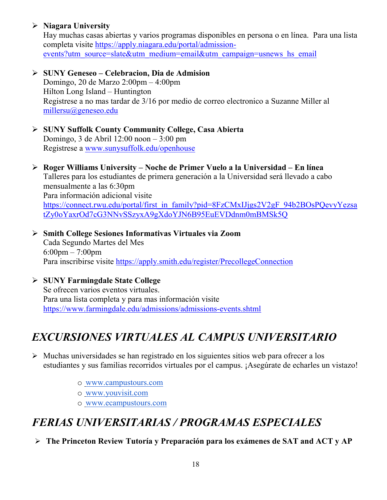### **Niagara University**

Hay muchas casas abiertas y varios programas disponibles en persona o en línea. Para una lista completa visite [https://apply.niagara.edu/portal/admission](https://apply.niagara.edu/portal/admission-events?utm_source=slate&utm_medium=email&utm_campaign=usnews_hs_email)[events?utm\\_source=slate&utm\\_medium=email&utm\\_campaign=usnews\\_hs\\_email](https://apply.niagara.edu/portal/admission-events?utm_source=slate&utm_medium=email&utm_campaign=usnews_hs_email)

- **SUNY Geneseo – Celebracion, Dia de Admision** Domingo, 20 de Marzo 2:00pm – 4:00pm Hilton Long Island – Huntington Registrese a no mas tardar de 3/16 por medio de correo electronico a Suzanne Miller al [millersu@geneseo.edu](mailto:millersu@geneseo.edu)
- **SUNY Suffolk County Community College, Casa Abierta** Domingo, 3 de Abril 12:00 noon – 3:00 pm Registrese a [www.sunysuffolk.edu/openhouse](http://www.sunysuffolk.edu/openhouse)
- **Roger Williams University – Noche de Primer Vuelo a la Universidad – En línea** Talleres para los estudiantes de primera generación a la Universidad será llevado a cabo mensualmente a las 6:30pm Para información adicional visite [https://connect.rwu.edu/portal/first\\_in\\_family?pid=8FzCMxIJjgs2V2gF\\_94b2BOsPQevyYezsa](https://connect.rwu.edu/portal/first_in_family?pid=8FzCMxIJjgs2V2gF_94b2BOsPQevyYezsatZy0oYaxrOd7cG3NNvSSzyxA9gXdoYJN6B95EuEVDdnm0mBMSk5Q) [tZy0oYaxrOd7cG3NNvSSzyxA9gXdoYJN6B95EuEVDdnm0mBMSk5Q](https://connect.rwu.edu/portal/first_in_family?pid=8FzCMxIJjgs2V2gF_94b2BOsPQevyYezsatZy0oYaxrOd7cG3NNvSSzyxA9gXdoYJN6B95EuEVDdnm0mBMSk5Q)
- **Smith College Sesiones Informativas Virtuales via Zoom** Cada Segundo Martes del Mes 6:00pm – 7:00pm Para inscribirse visite<https://apply.smith.edu/register/PrecollegeConnection>
- **SUNY Farmingdale State College** Se ofrecen varios eventos virtuales. Para una lista completa y para mas información visite <https://www.farmingdale.edu/admissions/admissions-events.shtml>

### *EXCURSIONES VIRTUALES AL CAMPUS UNIVERSITARIO*

- $\triangleright$  Muchas universidades se han registrado en los siguientes sitios web para ofrecer a los estudiantes y sus familias recorridos virtuales por el campus. ¡Asegúrate de echarles un vistazo!
	- o [www.campustours.com](http://www.campustours.com/)
	- o [www.youvisit.com](http://www.youvisit.com/)
	- o [www.ecampustours.com](http://www.ecampustours.com/)

### *FERIAS UNIVERSITARIAS / PROGRAMAS ESPECIALES*

**The Princeton Review Tutoría y Preparación para los exámenes de SAT and ACT y AP**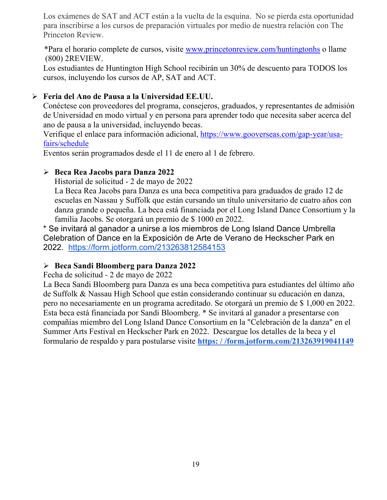Los exámenes de SAT and ACT están a la vuelta de la esquina. No se pierda esta oportunidad para inscribirse a los cursos de preparación virtuales por medio de nuestra relación con The Princeton Review.

 \*Para el horario complete de cursos, visite [www.princetonreview.com/huntingtonhs](http://www.princetonreview.com/huntingtonhs) o llame (800) 2REVIEW.

Los estudiantes de Huntington High School recibirán un 30% de descuento para TODOS los cursos, incluyendo los cursos de AP, SAT and ACT.

### **Feria del Ano de Pausa a la Universidad EE.UU.**

Conéctese con proveedores del programa, consejeros, graduados, y representantes de admisión de Universidad en modo virtual y en persona para aprender todo que necesita saber acerca del ano de pausa a la universidad, incluyendo becas.

Verifique el enlace para información adicional, [https://www.gooverseas.com/gap-year/usa](https://www.gooverseas.com/gap-year/usa-fairs/schedule)[fairs/schedule](https://www.gooverseas.com/gap-year/usa-fairs/schedule)

Eventos serán programados desde el 11 de enero al 1 de febrero.

### **Beca Rea Jacobs para Danza 2022**

Historial de solicitud - 2 de mayo de 2022

La Beca Rea Jacobs para Danza es una beca competitiva para graduados de grado 12 de escuelas en Nassau y Suffolk que están cursando un título universitario de cuatro años con danza grande o pequeña. La beca está financiada por el Long Island Dance Consortium y la familia Jacobs. Se otorgará un premio de \$ 1000 en 2022.

\* Se invitará al ganador a unirse a los miembros de Long Island Dance Umbrella Celebration of Dance en la Exposición de Arte de Verano de Heckscher Park en 2022. <https://form.jotform.com/213263812584153>

### **Beca Sandi Bloomberg para Danza 2022**

Fecha de solicitud - 2 de mayo de 2022

La Beca Sandi Bloomberg para Danza es una beca competitiva para estudiantes del último año de Suffolk & Nassau High School que están considerando continuar su educación en danza, pero no necesariamente en un programa acreditado. Se otorgará un premio de \$ 1,000 en 2022. Esta beca está financiada por Sandi Bloomberg. \* Se invitará al ganador a presentarse con compañías miembro del Long Island Dance Consortium en la "Celebración de la danza" en el Summer Arts Festival en Heckscher Park en 2022. Descargue los detalles de la beca y el formulario de respaldo y para postularse visite **[https: / /form.jotform.com/213263919041149](https://form.jotform.com/213263919041149)**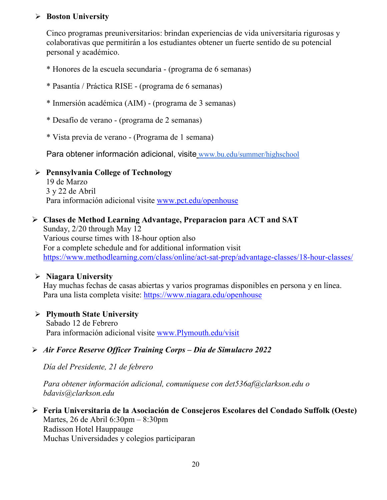### **Boston University**

Cinco programas preuniversitarios: brindan experiencias de vida universitaria rigurosas y colaborativas que permitirán a los estudiantes obtener un fuerte sentido de su potencial personal y académico.

- \* Honores de la escuela secundaria (programa de 6 semanas)
- \* Pasantía / Práctica RISE (programa de 6 semanas)
- \* Inmersión académica (AIM) (programa de 3 semanas)
- \* Desafío de verano (programa de 2 semanas)
- \* Vista previa de verano (Programa de 1 semana)

Para obtener información adicional, visite [www.bu.edu/summer/highschool](http://www.bu.edu/summer/highschool)

### **Pennsylvania College of Technology**

19 de Marzo 3 y 22 de Abril Para información adicional visite [www.pct.edu/openhouse](http://www.pct.edu/openhouse)

### **Clases de Method Learning Advantage, Preparacion para ACT and SAT**

Sunday, 2/20 through May 12 Various course times with 18-hour option also For a complete schedule and for additional information visit <https://www.methodlearning.com/class/online/act-sat-prep/advantage-classes/18-hour-classes/>

### **Niagara University**

Hay muchas fechas de casas abiertas y varios programas disponibles en persona y en línea. Para una lista completa visite:<https://www.niagara.edu/openhouse>

### **Plymouth State University**

Sabado 12 de Febrero Para información adicional visite [www.Plymouth.edu/visit](http://www.plymouth.edu/visit)

### *Air Force Reserve Officer Training Corps – Dia de Simulacro 2022*

*Día del Presidente, 21 de febrero*

*Para obtener información adicional, comuníquese con det536af@clarkson.edu o bdavis@clarkson.edu*

 **Feria Universitaria de la Asociación de Consejeros Escolares del Condado Suffolk (Oeste)** Martes, 26 de Abril 6:30pm – 8:30pm Radisson Hotel Hauppauge Muchas Universidades y colegios participaran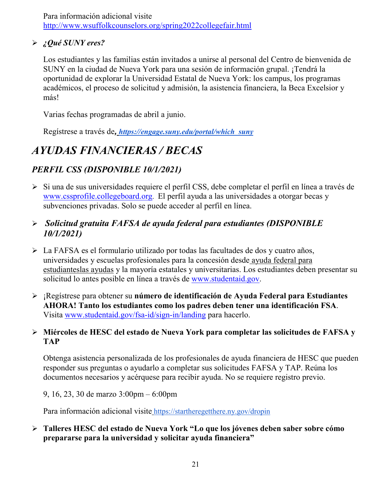Para información adicional visite <http://www.wsuffolkcounselors.org/spring2022collegefair.html>

### *¿Qué SUNY eres?*

Los estudiantes y las familias están invitados a unirse al personal del Centro de bienvenida de SUNY en la ciudad de Nueva York para una sesión de información grupal. ¡Tendrá la oportunidad de explorar la Universidad Estatal de Nueva York: los campus, los programas académicos, el proceso de solicitud y admisión, la asistencia financiera, la Beca Excelsior y más!

Varias fechas programadas de abril a junio.

Regístrese a través de*, [https://engage.suny.edu/portal/which\\_suny](https://engage.suny.edu/portal/which_suny)*

### *AYUDAS FINANCIERAS / BECAS*

### *PERFIL CSS (DISPONIBLE 10/1/2021)*

Si una d[e](http://www.collegeboard.org/) sus universidades requiere el perfil CSS, debe completar el perfil en línea a través de [www.cssprofile.collegeboard.org.](http://www.collegeboard.org/) El perfil ayuda a las universidades a otorgar becas y subvenciones privadas. Solo se puede acceder al perfil en línea.

### *Solicitud gratuita FAFSA de ayuda federal para estudiantes (DISPONIBLE 10/1/2021)*

- La FAFSA es el formulario utilizado por todas las facultades de dos y cuatro años, universidades y escuelas profesionales para la concesión desde [ayuda federal para](http://studentaid.ed.gov/students/publications/student_guide/2010-2011/english/typesofFSA_grants.htm)  [estudianteslas ayudas](http://studentaid.ed.gov/students/publications/student_guide/2010-2011/english/typesofFSA_grants.htm) y la mayoría estatales y universitarias. Los estudiantes deben presentar su solicitud lo antes posible en línea a través de [www.studentaid.gov.](http://www.studentaid.gov/)
- ¡Regístrese para obtener su **número de identificación de Ayuda Federal para Estudiantes AHORA! Tanto los estudiantes como los padres deben tener una identificación FSA**. Visita [www.studentaid.gov/fsa-id/sign-in/landing](http://www.studentaid.gov/fsa-id/sign-in/landing) para hacerlo.

### **Miércoles de HESC del estado de Nueva York para completar las solicitudes de FAFSA y TAP**

Obtenga asistencia personalizada de los profesionales de ayuda financiera de HESC que pueden responder sus preguntas o ayudarlo a completar sus solicitudes FAFSA y TAP. Reúna los documentos necesarios y acérquese para recibir ayuda. No se requiere registro previo.

9, 16, 23, 30 de marzo 3:00pm – 6:00pm

Para información adicional visite <https://startheregetthere.ny.gov/dropin>

 **Talleres HESC del estado de Nueva York "Lo que los jóvenes deben saber sobre cómo prepararse para la universidad y solicitar ayuda financiera"**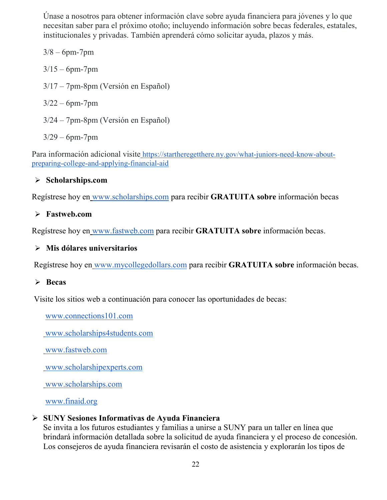Únase a nosotros para obtener información clave sobre ayuda financiera para jóvenes y lo que necesitan saber para el próximo otoño; incluyendo información sobre becas federales, estatales, institucionales y privadas. También aprenderá cómo solicitar ayuda, plazos y más.

 $3/8 - 6$ pm-7pm  $3/15 - 6$ pm-7pm 3/17 – 7pm-8pm (Versión en Español)  $3/22 - 6$ pm-7pm 3/24 – 7pm-8pm (Versión en Español)

3/29 – 6pm-7pm

Para información adicional visite [https://startheregetthere.ny.gov/what-juniors-need-know-about](https://startheregetthere.ny.gov/what-juniors-need-know-about-preparing-college-and-applying-financial-aid)[preparing-college-and-applying-financial-aid](https://startheregetthere.ny.gov/what-juniors-need-know-about-preparing-college-and-applying-financial-aid)

### **Scholarships.com**

Regístrese hoy en [www.scholarships.com](http://www.scholarships.com/) para recibir **GRATUITA sobre** información becas

### **Fastweb.com**

Regístrese hoy en [www.fastweb.com](http://www.fastweb.com/) para recibir **GRATUITA sobre** información becas.

### **Mis dólares universitarios**

Regístrese hoy en [www.mycollegedollars.com](http://www.mycollegedollars.com/) para recibir **GRATUITA sobre** información becas.

### **Becas**

Visite los sitios web a continuación para conocer las oportunidades de becas:

[www.connections101.com](http://www.connections101.com/)

[www.scholarships4students.com](http://www.scholarships4students.com/)

[www.fastweb.com](http://www.fastweb.com/)

[www.scholarshipexperts.com](http://www.scholarshipexperts.com/)

[www.scholarships.com](http://www.scholarships.com/)

[www.finaid.org](http://www.finaid.org/)

### **SUNY Sesiones Informativas de Ayuda Financiera**

Se invita a los futuros estudiantes y familias a unirse a SUNY para un taller en línea que brindará información detallada sobre la solicitud de ayuda financiera y el proceso de concesión. Los consejeros de ayuda financiera revisarán el costo de asistencia y explorarán los tipos de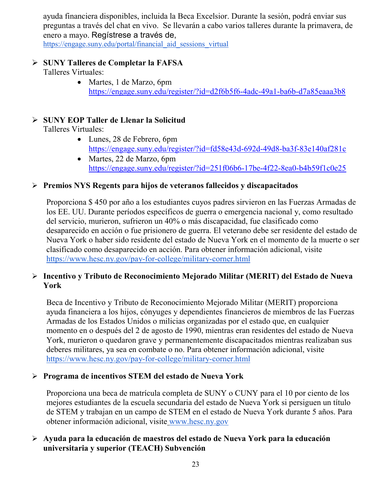ayuda financiera disponibles, incluida la Beca Excelsior. Durante la sesión, podrá enviar sus preguntas a través del chat en vivo. Se llevarán a cabo varios talleres durante la primavera, de enero a mayo. Regístrese a través de[,](https://engage.suny.edu/portal/financial_aid_sessions_virtual)

[https://engage.suny.edu/portal/financial\\_aid\\_sessions\\_virtual](https://engage.suny.edu/portal/financial_aid_sessions_virtual)

#### **SUNY Talleres de Completar la FAFSA**  Talleres Virtuales:

• Martes, 1 de Marzo, 6pm <https://engage.suny.edu/register/?id=d2f6b5f6-4adc-49a1-ba6b-d7a85eaaa3b8>

### **SUNY EOP Taller de Llenar la Solicitud**

Talleres Virtuales:

- Lunes, 28 de Febrero, 6pm <https://engage.suny.edu/register/?id=fd58e43d-692d-49d8-ba3f-83e140af281c>
- Martes, 22 de Marzo, 6pm <https://engage.suny.edu/register/?id=251f06b6-17be-4f22-8ea0-b4b59f1c0e25>

### **Premios NYS Regents para hijos de veteranos fallecidos y discapacitados**

Proporciona \$ 450 por año a los estudiantes cuyos padres sirvieron en las Fuerzas Armadas de los EE. UU. Durante períodos específicos de guerra o emergencia nacional y, como resultado del servicio, murieron, sufrieron un 40% o más discapacidad, fue clasificado como desaparecido en acción o fue prisionero de guerra. El veterano debe ser residente del estado de Nueva York o haber sido residente del estado de Nueva York en el momento de la muerte o ser clasificado como desaparecido en acción. Para obtener información adicional, visit[e](https://www.hesc.ny.gov/pay-for-college/military-corner.html) <https://www.hesc.ny.gov/pay-for-college/military-corner.html>

### **Incentivo y Tributo de Reconocimiento Mejorado Militar (MERIT) del Estado de Nueva York**

Beca de Incentivo y Tributo de Reconocimiento Mejorado Militar (MERIT) proporciona ayuda financiera a los hijos, cónyuges y dependientes financieros de miembros de las Fuerzas Armadas de los Estados Unidos o milicias organizadas por el estado que, en cualquier momento en o después del 2 de agosto de 1990, mientras eran residentes del estado de Nueva York, murieron o quedaron grave y permanentemente discapacitados mientras realizaban sus deberes militares, ya sea en combate o no. Para obtener información adicional, visit[e](https://www.hesc.ny.gov/pay-for-college/military-corner.html) <https://www.hesc.ny.gov/pay-for-college/military-corner.html>

### **Programa de incentivos STEM del estado de Nueva York**

Proporciona una beca de matrícula completa de SUNY o CUNY para el 10 por ciento de los mejores estudiantes de la escuela secundaria del estado de Nueva York si persiguen un título de STEM y trabajan en un campo de STEM en el estado de Nueva York durante 5 años. Para obtener información adicional, visite [www.hesc.ny.gov](http://www.hesc.ny.gov/)

### **Ayuda para la educación de maestros del estado de Nueva York para la educación universitaria y superior (TEACH) Subvención**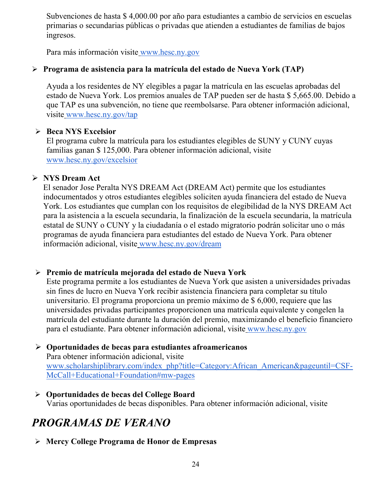Subvenciones de hasta \$ 4,000.00 por año para estudiantes a cambio de servicios en escuelas primarias o secundarias públicas o privadas que atienden a estudiantes de familias de bajos ingresos.

Para más información visite [www.hesc.ny.gov](http://www.hesc.ny.gov/) 

### **Programa de asistencia para la matrícula del estado de Nueva York (TAP)**

Ayuda a los residentes de NY elegibles a pagar la matrícula en las escuelas aprobadas del estado de Nueva York. Los premios anuales de TAP pueden ser de hasta \$ 5,665.00. Debido a que TAP es una subvención, no tiene que reembolsarse. Para obtener información adicional, visite [www.hesc.ny.gov/tap](http://www.hesc.ny.gov/tap)

### **Beca NYS Excelsior**

El programa cubre la matrícula para los estudiantes elegibles de SUNY y CUNY cuyas familias ganan \$ 125,000. Para obtener información adicional, visit[e](http://www.hesc.ny.gov/) [www.hesc.ny.gov/](http://www.hesc.ny.gov/)excelsior

### **NYS Dream Act**

El senador Jose Peralta NYS DREAM Act (DREAM Act) permite que los estudiantes indocumentados y otros estudiantes elegibles soliciten ayuda financiera del estado de Nueva York. Los estudiantes que cumplan con los requisitos de elegibilidad de la NYS DREAM Act para la asistencia a la escuela secundaria, la finalización de la escuela secundaria, la matrícula estatal de SUNY o CUNY y la ciudadanía o el estado migratorio podrán solicitar uno o más programas de ayuda financiera para estudiantes del estado de Nueva York. Para obtener información adicional, visite [www.hesc.ny.gov/dream](http://www.hesc.ny.gov/dream)

### **Premio de matrícula mejorada del estado de Nueva York**

Este programa permite a los estudiantes de Nueva York que asisten a universidades privadas sin fines de lucro en Nueva York recibir asistencia financiera para completar su título universitario. El programa proporciona un premio máximo de \$ 6,000, requiere que las universidades privadas participantes proporcionen una matrícula equivalente y congelen la matrícula del estudiante durante la duración del premio, maximizando el beneficio financiero para el estudiante. Para obtener información adicional, visite [www.hesc.ny.gov](http://www.hesc.ny.gov/)

#### **Oportunidades de becas para estudian[tes afroamericanos](http://www.scholarshiplibrary.com/index_php?title=Category:African_American&pageuntil=CSF-McCall+Educational+Foundation#mw-pages)** Para obtener información adicional, visite [www.scholarshiplibrary.com/index\\_php?title=Category:African\\_American&pageuntil=CSF-](http://www.scholarshiplibrary.com/index_php?title=Category:African_American&pageuntil=CSF-McCall+Educational+Foundation#mw-pages)[McCall+Educational+Foundation#mw-pages](http://www.scholarshiplibrary.com/index_php?title=Category:African_American&pageuntil=CSF-McCall+Educational+Foundation#mw-pages)

 **Oportunidades de becas del College Board** Varias oportunidades de becas disponibles. Para obtener información adicional, visite

### *PROGRAMAS DE VERANO*

**Mercy College Programa de Honor de Empresas**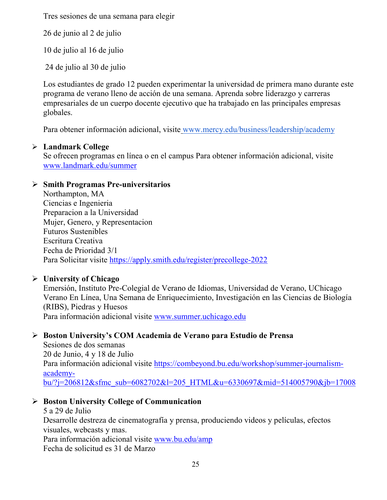Tres sesiones de una semana para elegir

26 de junio al 2 de julio

10 de julio al 16 de julio

24 de julio al 30 de julio

Los estudiantes de grado 12 pueden experimentar la universidad de primera mano durante este programa de verano lleno de acción de una semana. Aprenda sobre liderazgo y carreras empresariales de un cuerpo docente ejecutivo que ha trabajado en las principales empresas globales.

Para obtener información adicional, visite [www.mercy.edu/business/leadership/academy](http://www.mercy.edu/business/leadership/academy)

### **Landmark College**

Se ofrecen programas en línea o en el campus Para obtener información adicional, visite www.landmark.edu/summer

### **Smith Programas Pre-universitarios**

Northampton, MA Ciencias e Ingenieria Preparacion a la Universidad Mujer, Genero, y Representacion Futuros Sustenibles Escritura Creativa Fecha de Prioridad 3/1 Para Solicitar visite<https://apply.smith.edu/register/precollege-2022>

### **University of Chicago**

Emersión, Instituto Pre-Colegial de Verano de Idiomas, Universidad de Verano, UChicago Verano En Línea, Una Semana de Enriquecimiento, Investigación en las Ciencias de Biología (RIBS), Piedras y Huesos Para información adicional visite [www.summer.uchicago.edu](http://www.summer.uchicago.edu/)

### **Boston University's COM Academia de Verano para Estudio de Prensa**

Sesiones de dos semanas 20 de Junio, 4 y 18 de Julio Para información adicional visite [https://combeyond.bu.edu/workshop/summer-journalism](https://combeyond.bu.edu/workshop/summer-journalism-academy-bu/?j=206812&sfmc_sub=6082702&l=205_HTML&u=6330697&mid=514005790&jb=17008)[academy](https://combeyond.bu.edu/workshop/summer-journalism-academy-bu/?j=206812&sfmc_sub=6082702&l=205_HTML&u=6330697&mid=514005790&jb=17008)[bu/?j=206812&sfmc\\_sub=6082702&l=205\\_HTML&u=6330697&mid=514005790&jb=17008](https://combeyond.bu.edu/workshop/summer-journalism-academy-bu/?j=206812&sfmc_sub=6082702&l=205_HTML&u=6330697&mid=514005790&jb=17008)

### **Boston University College of Communication**

5 a 29 de Julio Desarrolle destreza de cinematografía y prensa, produciendo videos y películas, efectos visuales, webcasts y mas. Para información adicional visite [www.bu.edu/amp](http://www.bu.edu/amp) Fecha de solicitud es 31 de Marzo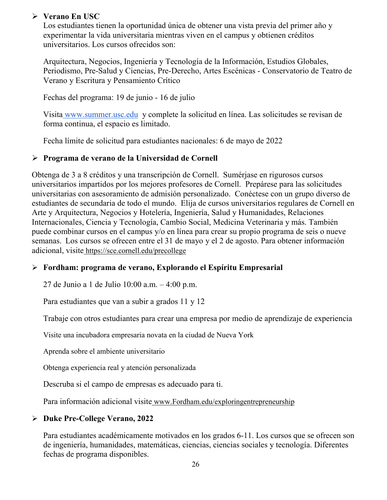### **Verano En USC**

Los estudiantes tienen la oportunidad única de obtener una vista previa del primer año y experimentar la vida universitaria mientras viven en el campus y obtienen créditos universitarios. Los cursos ofrecidos son:

Arquitectura, Negocios, Ingeniería y Tecnología de la Información, Estudios Globales, Periodismo, Pre-Salud y Ciencias, Pre-Derecho, Artes Escénicas - Conservatorio de Teatro de Verano y Escritura y Pensamiento Crítico

Fechas del programa: 19 de junio - 16 de julio

Visita [www.summer.usc.edu](http://www.summer.usc.edu/) y complete la solicitud en línea. Las solicitudes se revisan de forma continua, el espacio es limitado.

Fecha límite de solicitud para estudiantes nacionales: 6 de mayo de 2022

### **Programa de verano de la Universidad de Cornell**

Obtenga de 3 a 8 créditos y una transcripción de Cornell. Sumérjase en rigurosos cursos universitarios impartidos por los mejores profesores de Cornell. Prepárese para las solicitudes universitarias con asesoramiento de admisión personalizado. Conéctese con un grupo diverso de estudiantes de secundaria de todo el mundo. Elija de cursos universitarios regulares de Cornell en Arte y Arquitectura, Negocios y Hotelería, Ingeniería, Salud y Humanidades, Relaciones Internacionales, Ciencia y Tecnología, Cambio Social, Medicina Veterinaria y más. También puede combinar cursos en el campus y/o en línea para crear su propio programa de seis o nueve semanas. Los cursos se ofrecen entre el 31 de mayo y el 2 de agosto. Para obtener información adicional, visite <https://sce.cornell.edu/precollege>

### **Fordham: programa de verano, Explorando el Espíritu Empresarial**

27 de Junio a 1 de Julio 10:00 a.m. – 4:00 p.m.

Para estudiantes que van a subir a grados 11 y 12

Trabaje con otros estudiantes para crear una empresa por medio de aprendizaje de experiencia

Visite una incubadora empresaria novata en la ciudad de Nueva York

Aprenda sobre el ambiente universitario

Obtenga experiencia real y atención personalizada

Descruba si el campo de empresas es adecuado para ti.

Para información adicional visite [www.Fordham.edu/exploringentrepreneurship](http://www.fordham.edu/exploringentrepreneurship)

### **Duke Pre-College Verano, 2022**

Para estudiantes académicamente motivados en los grados 6-11. Los cursos que se ofrecen son de ingeniería, humanidades, matemáticas, ciencias, ciencias sociales y tecnología. Diferentes fechas de programa disponibles.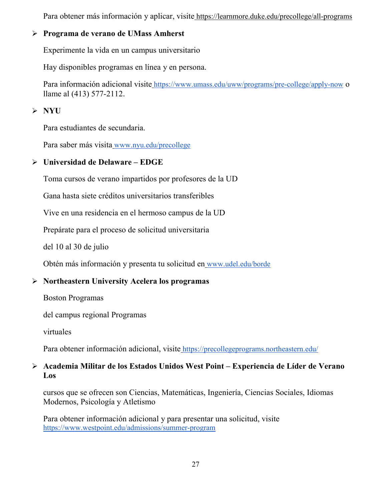Para obtener más información y aplicar, visite <https://learnmore.duke.edu/precollege/all-programs>

### **Programa de verano de UMass Amherst**

Experimente la vida en un campus universitario

Hay disponibles programas en línea y en persona.

Para información adicional visite <https://www.umass.edu/uww/programs/pre-college/apply-now> o llame al (413) 577-2112.

### **NYU**

Para estudiantes de secundaria.

Para saber más visita [www.nyu.edu/precollege](http://www.nyu.edu/precollege)

### **Universidad de Delaware – EDGE**

Toma cursos de verano impartidos por profesores de la UD

Gana hasta siete créditos universitarios transferibles

Vive en una residencia en el hermoso campus de la UD

Prepárate para el proceso de solicitud universitaria

del 10 al 30 de julio

Obtén más información y presenta tu solicitud en [www.udel.edu/borde](http://www.udel.edu/edge)

### **Northeastern University Acelera los programas**

Boston Programas

del campus regional Programas

virtuales

Para obtener información adicional, visite <https://precollegeprograms.northeastern.edu/>

### **Academia Militar de los Estados Unidos West Point – Experiencia de Líder de Verano Los**

cursos que se ofrecen son Ciencias, Matemáticas, Ingeniería, Ciencias Sociales, Idiomas Modernos, Psicología y Atletismo

Para obtener información adicional y para presentar una solicitud, visit[e](https://www.westpoint.edu/admissions/summer-program) <https://www.westpoint.edu/admissions/summer-program>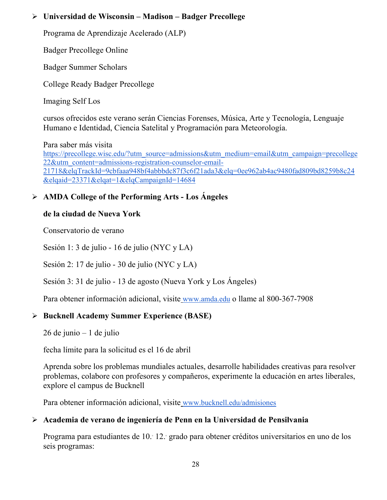### **Universidad de Wisconsin – Madison – Badger Precollege**

Programa de Aprendizaje Acelerado (ALP)

Badger Precollege Online

Badger Summer Scholars

College Ready Badger Precollege

Imaging Self Los

cursos ofrecidos este verano serán Ciencias Forenses, Música, Arte y Tecnología, Lenguaje Humano e Identidad, Ciencia Satelital y Programación para Meteorología.

Para saber más visit[a](https://precollege.wisc.edu/?utm_source=admissions&utm_medium=email&utm_campaign=precollege22&utm_content=admissions-registration-counselor-email-21718&elqTrackId=9cbfaaa948bf4abbbdc87f3c6f21ada3&elq=0ee962ab4ac9480fad809bd8259b8c24&elqaid=23371&elqat=1&elqCampaignId=14684)

[https://precollege.wisc.edu/?utm\\_source=admissions&utm\\_medium=email&utm\\_campaign=precollege](https://precollege.wisc.edu/?utm_source=admissions&utm_medium=email&utm_campaign=precollege22&utm_content=admissions-registration-counselor-email-21718&elqTrackId=9cbfaaa948bf4abbbdc87f3c6f21ada3&elq=0ee962ab4ac9480fad809bd8259b8c24&elqaid=23371&elqat=1&elqCampaignId=14684) [22&utm\\_content=admissions-registration-counselor-email-](https://precollege.wisc.edu/?utm_source=admissions&utm_medium=email&utm_campaign=precollege22&utm_content=admissions-registration-counselor-email-21718&elqTrackId=9cbfaaa948bf4abbbdc87f3c6f21ada3&elq=0ee962ab4ac9480fad809bd8259b8c24&elqaid=23371&elqat=1&elqCampaignId=14684)[21718&elqTrackId=9cbfaaa948bf4abbbdc87f3c6f21ada3&elq=0ee962ab4ac9480fad809bd8259b8c24](https://precollege.wisc.edu/?utm_source=admissions&utm_medium=email&utm_campaign=precollege22&utm_content=admissions-registration-counselor-email-21718&elqTrackId=9cbfaaa948bf4abbbdc87f3c6f21ada3&elq=0ee962ab4ac9480fad809bd8259b8c24&elqaid=23371&elqat=1&elqCampaignId=14684) [&elqaid=23371&elqat=1&elqCampaignId=14684](https://precollege.wisc.edu/?utm_source=admissions&utm_medium=email&utm_campaign=precollege22&utm_content=admissions-registration-counselor-email-21718&elqTrackId=9cbfaaa948bf4abbbdc87f3c6f21ada3&elq=0ee962ab4ac9480fad809bd8259b8c24&elqaid=23371&elqat=1&elqCampaignId=14684)

### **AMDA College of the Performing Arts - Los Ángeles**

### **de la ciudad de Nueva York**

Conservatorio de verano

Sesión 1: 3 de julio - 16 de julio (NYC y LA)

Sesión 2: 17 de julio - 30 de julio (NYC y LA)

Sesión 3: 31 de julio - 13 de agosto (Nueva York y Los Ángeles)

Para obtener información adicional, visite [www.amda.edu](http://www.amda.edu/) o llame al 800-367-7908

### **Bucknell Academy Summer Experience (BASE)**

26 de junio – 1 de julio

fecha límite para la solicitud es el 16 de abril

Aprenda sobre los problemas mundiales actuales, desarrolle habilidades creativas para resolver problemas, colabore con profesores y compañeros, experimente la educación en artes liberales, explore el campus de Bucknell

Para obtener información adicional, visite [www.bucknell.edu/admisiones](http://www.bucknell.edu/admissions)

### **Academia de verano de ingeniería de Penn en la Universidad de Pensilvania**

Programa para estudiantes de 10.° 12.° grado para obtener créditos universitarios en uno de los seis programas: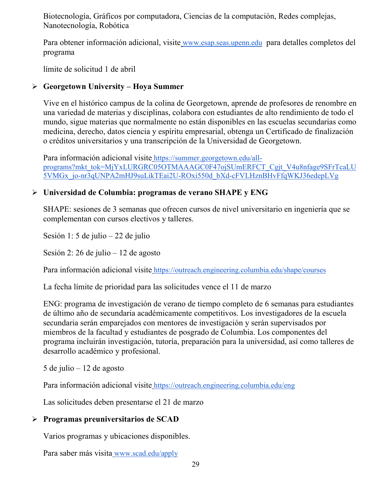Biotecnología, Gráficos por computadora, Ciencias de la computación, Redes complejas, Nanotecnología, Robótica

Para obtener información adicional, visite [www.esap.seas.upenn.edu](http://www.esap.seas.upenn.edu/) para detalles completos del programa

límite de solicitud 1 de abril

### **Georgetown University – Hoya Summer**

Vive en el histórico campus de la colina de Georgetown, aprende de profesores de renombre en una variedad de materias y disciplinas, colabora con estudiantes de alto rendimiento de todo el mundo, sigue materias que normalmente no están disponibles en las escuelas secundarias como medicina, derecho, datos ciencia y espíritu empresarial, obtenga un Certificado de finalización o créditos universitarios y una transcripción de la Universidad de Georgetown.

Para información adicional visite [https://summer.georgetown.edu/all](https://summer.georgetown.edu/all-programs?mkt_tok=MjYxLURGRC05OTMAAAGC0F47ojSUmERFCT_Cgjt_V4u8nfage9SFrTcaLU5VMGx_jo-nr3qUNPA2mHJ9suLikTEai2U-ROxi550d_bXd-cFVLHznBHvFfqWKJ36edepLVg)[programs?mkt\\_tok=MjYxLURGRC05OTMAAAGC0F47ojSUmERFCT\\_Cgjt\\_V4u8nfage9SFrTcaLU](https://summer.georgetown.edu/all-programs?mkt_tok=MjYxLURGRC05OTMAAAGC0F47ojSUmERFCT_Cgjt_V4u8nfage9SFrTcaLU5VMGx_jo-nr3qUNPA2mHJ9suLikTEai2U-ROxi550d_bXd-cFVLHznBHvFfqWKJ36edepLVg) [5VMGx\\_jo-nr3qUNPA2mHJ9suLikTEai2U-ROxi550d\\_bXd-cFVLHznBHvFfqWKJ36edepLVg](https://summer.georgetown.edu/all-programs?mkt_tok=MjYxLURGRC05OTMAAAGC0F47ojSUmERFCT_Cgjt_V4u8nfage9SFrTcaLU5VMGx_jo-nr3qUNPA2mHJ9suLikTEai2U-ROxi550d_bXd-cFVLHznBHvFfqWKJ36edepLVg)

### **Universidad de Columbia: programas de verano SHAPE y ENG**

SHAPE: sesiones de 3 semanas que ofrecen cursos de nivel universitario en ingeniería que se complementan con cursos electivos y talleres.

Sesión 1: 5 de julio – 22 de julio

Sesión 2: 26 de julio – 12 de agosto

Para información adicional visite <https://outreach.engineering.columbia.edu/shape/courses>

La fecha límite de prioridad para las solicitudes vence el 11 de marzo

ENG: programa de investigación de verano de tiempo completo de 6 semanas para estudiantes de último año de secundaria académicamente competitivos. Los investigadores de la escuela secundaria serán emparejados con mentores de investigación y serán supervisados por miembros de la facultad y estudiantes de posgrado de Columbia. Los componentes del programa incluirán investigación, tutoría, preparación para la universidad, así como talleres de desarrollo académico y profesional.

5 de julio – 12 de agosto

Para información adicional visite <https://outreach.engineering.columbia.edu/eng>

Las solicitudes deben presentarse el 21 de marzo

### **Programas preuniversitarios de SCAD**

Varios programas y ubicaciones disponibles.

Para saber más visita [www.scad.edu/apply](http://www.scad.edu/apply)